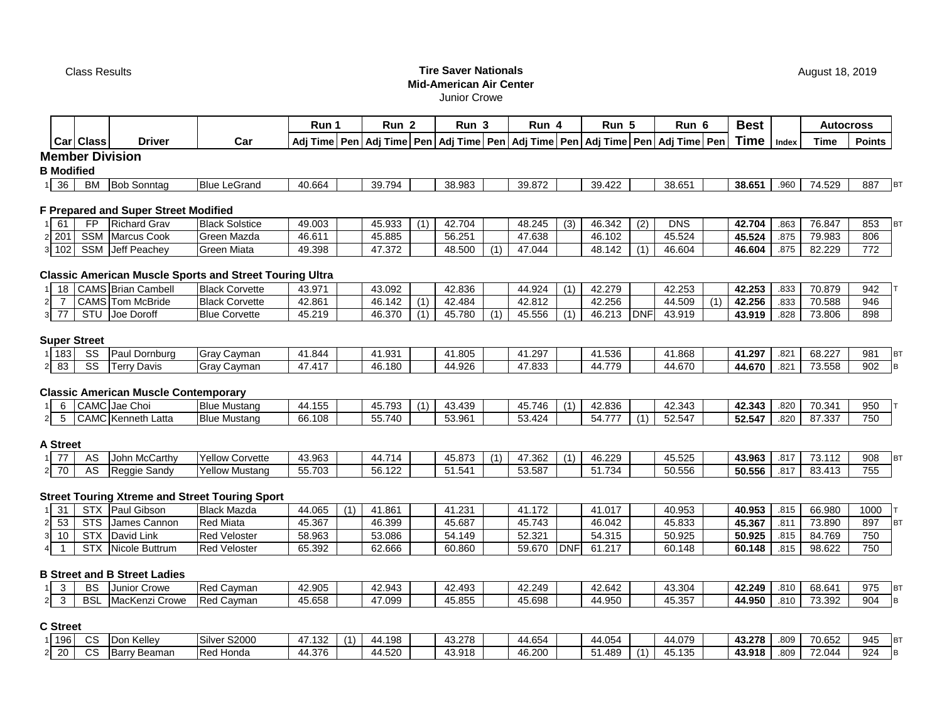## Class Results **Tire Saver Nationals Mid-American Air Center**

Junior Crowe

|                                  |            |                                             |                                                                | Run 1  |     | Run <sub>2</sub> |     | Run <sub>3</sub>                                                                           |     | Run 4  |            | Run 5  |            | Run 6      |                  | <b>Best</b> |       | <b>Autocross</b> |               |           |
|----------------------------------|------------|---------------------------------------------|----------------------------------------------------------------|--------|-----|------------------|-----|--------------------------------------------------------------------------------------------|-----|--------|------------|--------|------------|------------|------------------|-------------|-------|------------------|---------------|-----------|
|                                  | Car Class  | <b>Driver</b>                               | Car                                                            |        |     |                  |     | Adj Time Pen Adj Time Pen Adj Time Pen Adj Time Pen Adj Time Pen Adj Time Pen Adj Time Pen |     |        |            |        |            |            |                  | <b>Time</b> | Index | <b>Time</b>      | <b>Points</b> |           |
|                                  |            | <b>Member Division</b>                      |                                                                |        |     |                  |     |                                                                                            |     |        |            |        |            |            |                  |             |       |                  |               |           |
| <b>B</b> Modified                |            |                                             |                                                                |        |     |                  |     |                                                                                            |     |        |            |        |            |            |                  |             |       |                  |               |           |
| 36                               | <b>BM</b>  | <b>Bob Sonntag</b>                          | <b>Blue LeGrand</b>                                            | 40.664 |     | 39.794           |     | 38.983                                                                                     |     | 39.872 |            | 39.422 |            | 38.651     |                  | 38.651      | .960  | 74.529           | 887           | <b>BT</b> |
|                                  |            |                                             |                                                                |        |     |                  |     |                                                                                            |     |        |            |        |            |            |                  |             |       |                  |               |           |
|                                  |            | F Prepared and Super Street Modified        |                                                                |        |     |                  |     |                                                                                            |     |        |            |        |            |            |                  |             |       |                  |               |           |
| 61                               | <b>FP</b>  | <b>Richard Grav</b>                         | <b>Black Solstice</b>                                          | 49.003 |     | 45.933           | (1) | 42.704                                                                                     |     | 48.245 | (3)        | 46.342 | (2)        | <b>DNS</b> |                  | 42.704      | .863  | 76.847           | 853           | BT        |
| $2\overline{201}$                |            | SSM Marcus Cook                             | Green Mazda                                                    | 46.611 |     | 45.885           |     | 56.251                                                                                     |     | 47.638 |            | 46.102 |            | 45.524     |                  | 45.524      | .875  | 79.983           | 806           |           |
| 102<br>3 <sup>1</sup>            |            | SSM Jeff Peachey                            | <b>Green Miata</b>                                             | 49.398 |     | 47.372           |     | 48.500                                                                                     | (1) | 47.044 |            | 48.142 | (1)        | 46.604     |                  | 46.604      | .875  | 82.229           | 772           |           |
|                                  |            |                                             |                                                                |        |     |                  |     |                                                                                            |     |        |            |        |            |            |                  |             |       |                  |               |           |
|                                  |            |                                             | <b>Classic American Muscle Sports and Street Touring Ultra</b> |        |     |                  |     |                                                                                            |     |        |            |        |            |            |                  |             |       |                  |               |           |
| 18                               |            | <b>CAMS</b> Brian Cambell                   | <b>Black Corvette</b>                                          | 43.971 |     | 43.092           |     | 42.836                                                                                     |     | 44.924 | (1)        | 42.279 |            | 42.253     |                  | 42.253      | .833  | 70.879           | 942           |           |
| $\overline{7}$<br>$\overline{2}$ |            | CAMS Tom McBride                            | <b>Black Corvette</b>                                          | 42.861 |     | 46.142           | (1) | 42.484                                                                                     |     | 42.812 |            | 42.256 |            | 44.509     | $\overline{(1)}$ | 42.256      | .833  | 70.588           | 946           |           |
| 77<br>3                          |            | STU Joe Doroff                              | <b>Blue Corvette</b>                                           | 45.219 |     | 46.370           | (1) | 45.780                                                                                     | (1) | 45.556 | (1)        | 46.213 | <b>DNF</b> | 43.919     |                  | 43.919      | .828  | 73.806           | 898           |           |
|                                  |            |                                             |                                                                |        |     |                  |     |                                                                                            |     |        |            |        |            |            |                  |             |       |                  |               |           |
| <b>Super Street</b>              |            |                                             |                                                                |        |     |                  |     |                                                                                            |     |        |            |        |            |            |                  |             |       |                  |               |           |
| 183                              | SS         | Paul Dornburg                               | Gray Cayman                                                    | 41.844 |     | 41.931           |     | 41.805                                                                                     |     | 41.297 |            | 41.536 |            | 41.868     |                  | 41.297      | .821  | 68.227           | 981           | <b>BT</b> |
| 83                               | SS         | <b>Terry Davis</b>                          | Gray Cayman                                                    | 47.417 |     | 46.180           |     | 44.926                                                                                     |     | 47.833 |            | 44.779 |            | 44.670     |                  | 44.670      | .821  | 73.558           | 902           | B         |
|                                  |            |                                             |                                                                |        |     |                  |     |                                                                                            |     |        |            |        |            |            |                  |             |       |                  |               |           |
|                                  |            | <b>Classic American Muscle Contemporary</b> |                                                                |        |     |                  |     |                                                                                            |     |        |            |        |            |            |                  |             |       |                  |               |           |
| 6                                |            | CAMC Jae Choi                               | <b>Blue Mustang</b>                                            | 44.155 |     | 45.793           | (1) | 43.439                                                                                     |     | 45.746 | (1)        | 42.836 |            | 42.343     |                  | 42.343      | .820  | 70.341           | 950           |           |
| 5<br>$\overline{2}$              |            | CAMC Kenneth Latta                          | <b>Blue Mustang</b>                                            | 66.108 |     | 55.740           |     | 53.961                                                                                     |     | 53.424 |            | 54.777 | (1)        | 52.547     |                  | 52.547      | .820  | 87.337           | 750           |           |
|                                  |            |                                             |                                                                |        |     |                  |     |                                                                                            |     |        |            |        |            |            |                  |             |       |                  |               |           |
| A Street                         |            |                                             |                                                                |        |     |                  |     |                                                                                            |     |        |            |        |            |            |                  |             |       |                  |               |           |
| 77                               | AS         | John McCarthy                               | <b>Yellow Corvette</b>                                         | 43.963 |     | 44.714           |     | 45.873                                                                                     | (1) | 47.362 | (1)        | 46.229 |            | 45.525     |                  | 43.963      | .817  | 73.112           | 908           | <b>BT</b> |
| 70<br>$\overline{2}$             | AS         | Reggie Sandy                                | <b>Yellow Mustang</b>                                          | 55.703 |     | 56.122           |     | 51.541                                                                                     |     | 53.587 |            | 51.734 |            | 50.556     |                  | 50.556      | .817  | 83.413           | 755           |           |
|                                  |            |                                             | <b>Street Touring Xtreme and Street Touring Sport</b>          |        |     |                  |     |                                                                                            |     |        |            |        |            |            |                  |             |       |                  |               |           |
|                                  |            |                                             |                                                                |        |     |                  |     |                                                                                            |     |        |            |        |            |            |                  |             |       |                  |               |           |
| 31                               |            | STX Paul Gibson                             | <b>Black Mazda</b>                                             | 44.065 | (1) | 41.861           |     | 41.231                                                                                     |     | 41.172 |            | 41.017 |            | 40.953     |                  | 40.953      | .815  | 66.980           | 1000          |           |
| 53<br>$\overline{2}$             | <b>STS</b> | James Cannon                                | <b>Red Miata</b>                                               | 45.367 |     | 46.399           |     | 45.687                                                                                     |     | 45.743 |            | 46.042 |            | 45.833     |                  | 45.367      | .811  | 73.890           | 897           | BT        |
| 10<br>3                          | <b>STX</b> | David Link                                  | <b>Red Veloster</b>                                            | 58.963 |     | 53.086           |     | 54.149                                                                                     |     | 52.321 |            | 54.315 |            | 50.925     |                  | 50.925      | .815  | 84.769           | 750           |           |
|                                  |            | STX Nicole Buttrum                          | <b>Red Veloster</b>                                            | 65.392 |     | 62.666           |     | 60.860                                                                                     |     | 59.670 | <b>DNF</b> | 61.217 |            | 60.148     |                  | 60.148      | .815  | 98.622           | 750           |           |
|                                  |            | <b>B Street and B Street Ladies</b>         |                                                                |        |     |                  |     |                                                                                            |     |        |            |        |            |            |                  |             |       |                  |               |           |
| $\mathbf{3}$                     | <b>BS</b>  | Junior Crowe                                | Red Cayman                                                     | 42.905 |     | 42.943           |     | 42.493                                                                                     |     | 42.249 |            | 42.642 |            | 43.304     |                  | 42.249      | .810  | 68.641           | 975           | <b>BT</b> |
| $\mathbf{3}$<br>$\overline{2}$   | <b>BSL</b> | MacKenzi Crowe                              | Red Cayman                                                     | 45.658 |     | 47.099           |     | 45.855                                                                                     |     | 45.698 |            | 44.950 |            | 45.357     |                  | 44.950      | .810  | 73.392           | 904           |           |
|                                  |            |                                             |                                                                |        |     |                  |     |                                                                                            |     |        |            |        |            |            |                  |             |       |                  |               |           |

# **C Street**

| 196      | $\sim$<br>UC | Kellev<br>. .<br>$\cdots$ | S2000<br>Silver                  | 47.132<br>41. | 198،<br>44 | 43.278 | 44.654            | $\sim$ $-$<br>44 054<br>־ישטו |           | 44.079     | 43.278 | .809 | $\overline{\phantom{a}}$<br>70.652 | 945 | IB1 |
|----------|--------------|---------------------------|----------------------------------|---------------|------------|--------|-------------------|-------------------------------|-----------|------------|--------|------|------------------------------------|-----|-----|
| ററ<br>∠∪ | $\sim$<br>vc | <b>Barry</b><br>Beaman    | <sup>1</sup> Honda<br><b>Red</b> | 44.376        | 44.520     | 43.918 | 46.200<br>$\mu$ r | 51.489                        | $\lambda$ | 135<br>45. | 43.918 | .809 | 72.044                             | 924 | Iв. |